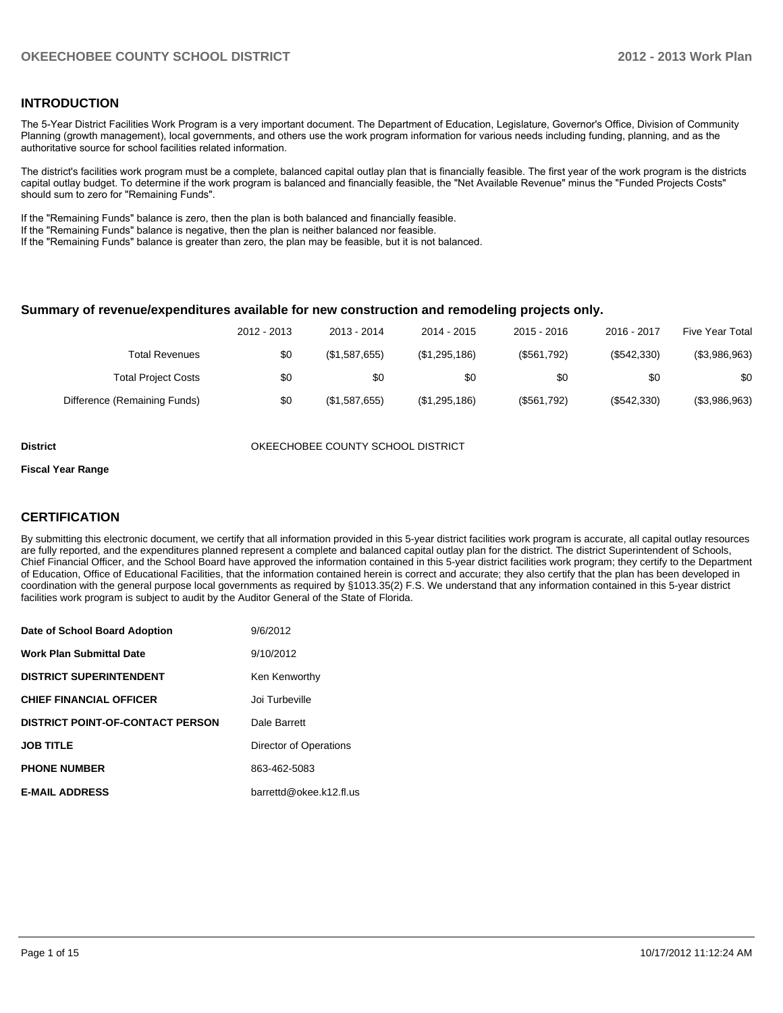## **INTRODUCTION**

The 5-Year District Facilities Work Program is a very important document. The Department of Education, Legislature, Governor's Office, Division of Community Planning (growth management), local governments, and others use the work program information for various needs including funding, planning, and as the authoritative source for school facilities related information.

The district's facilities work program must be a complete, balanced capital outlay plan that is financially feasible. The first year of the work program is the districts capital outlay budget. To determine if the work program is balanced and financially feasible, the "Net Available Revenue" minus the "Funded Projects Costs" should sum to zero for "Remaining Funds".

If the "Remaining Funds" balance is zero, then the plan is both balanced and financially feasible.

If the "Remaining Funds" balance is negative, then the plan is neither balanced nor feasible.

If the "Remaining Funds" balance is greater than zero, the plan may be feasible, but it is not balanced.

#### **Summary of revenue/expenditures available for new construction and remodeling projects only.**

| Five Year Total | 2016 - 2017 | $2015 - 2016$ | 2014 - 2015   | 2013 - 2014   | 2012 - 2013 |                              |
|-----------------|-------------|---------------|---------------|---------------|-------------|------------------------------|
| (\$3,986,963)   | (\$542,330) | (\$561,792)   | (\$1,295,186) | (\$1,587,655) | \$0         | <b>Total Revenues</b>        |
| \$0             | \$0         | \$0           | \$0           | \$0           | \$0         | <b>Total Project Costs</b>   |
| (\$3,986,963)   | (\$542,330) | (\$561,792)   | (\$1,295,186) | (\$1,587,655) | \$0         | Difference (Remaining Funds) |

**District COUNTY SCHOOL DISTRICT** OKEECHOBEE COUNTY SCHOOL DISTRICT

#### **Fiscal Year Range**

## **CERTIFICATION**

By submitting this electronic document, we certify that all information provided in this 5-year district facilities work program is accurate, all capital outlay resources are fully reported, and the expenditures planned represent a complete and balanced capital outlay plan for the district. The district Superintendent of Schools, Chief Financial Officer, and the School Board have approved the information contained in this 5-year district facilities work program; they certify to the Department of Education, Office of Educational Facilities, that the information contained herein is correct and accurate; they also certify that the plan has been developed in coordination with the general purpose local governments as required by §1013.35(2) F.S. We understand that any information contained in this 5-year district facilities work program is subject to audit by the Auditor General of the State of Florida.

| Date of School Board Adoption           | 9/6/2012                |
|-----------------------------------------|-------------------------|
| <b>Work Plan Submittal Date</b>         | 9/10/2012               |
| <b>DISTRICT SUPERINTENDENT</b>          | Ken Kenworthy           |
| <b>CHIEF FINANCIAL OFFICER</b>          | Joi Turbeville          |
| <b>DISTRICT POINT-OF-CONTACT PERSON</b> | Dale Barrett            |
| <b>JOB TITLE</b>                        | Director of Operations  |
| <b>PHONE NUMBER</b>                     | 863-462-5083            |
| <b>E-MAIL ADDRESS</b>                   | barrettd@okee.k12.fl.us |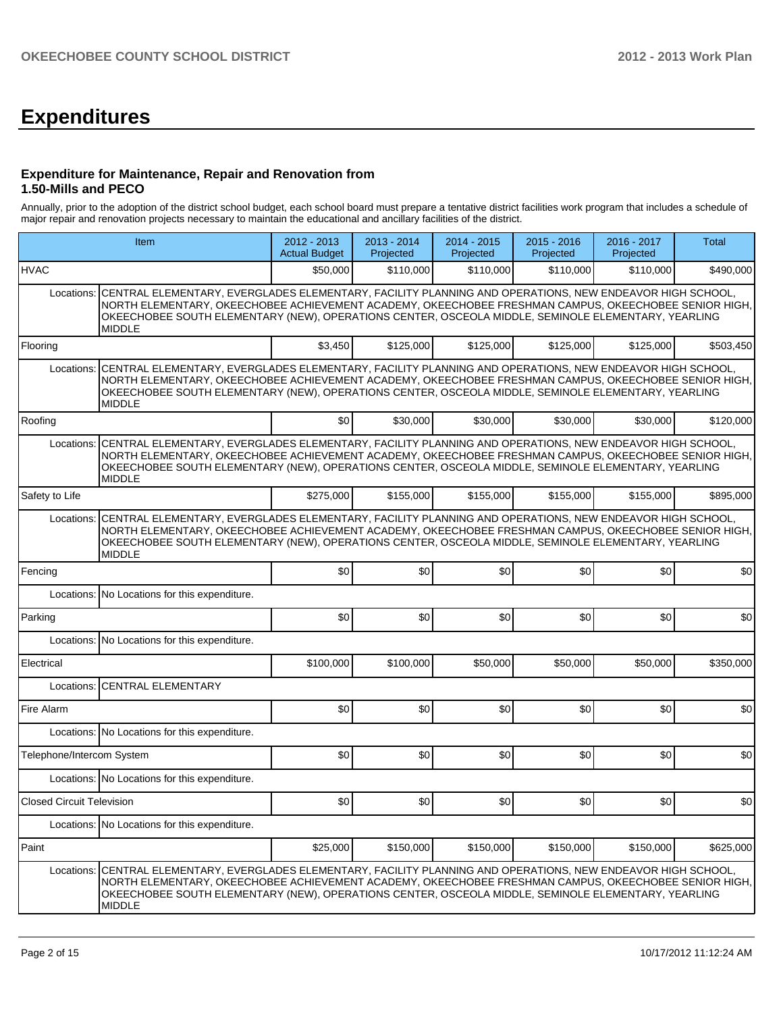# **Expenditures**

### **Expenditure for Maintenance, Repair and Renovation from 1.50-Mills and PECO**

Annually, prior to the adoption of the district school budget, each school board must prepare a tentative district facilities work program that includes a schedule of major repair and renovation projects necessary to maintain the educational and ancillary facilities of the district.

|                                                                                                                                                                                                                                                                                                                                                       | Item                                                                                                                                                                                                                                                                                                                                    |           | $2013 - 2014$<br>Projected | 2014 - 2015<br>Projected | $2015 - 2016$<br>Projected | 2016 - 2017<br>Projected | Total     |  |  |  |
|-------------------------------------------------------------------------------------------------------------------------------------------------------------------------------------------------------------------------------------------------------------------------------------------------------------------------------------------------------|-----------------------------------------------------------------------------------------------------------------------------------------------------------------------------------------------------------------------------------------------------------------------------------------------------------------------------------------|-----------|----------------------------|--------------------------|----------------------------|--------------------------|-----------|--|--|--|
| <b>HVAC</b>                                                                                                                                                                                                                                                                                                                                           |                                                                                                                                                                                                                                                                                                                                         | \$50,000  | \$110,000                  | \$110,000                | \$110,000                  | \$110.000                | \$490,000 |  |  |  |
| Locations:                                                                                                                                                                                                                                                                                                                                            | CENTRAL ELEMENTARY, EVERGLADES ELEMENTARY, FACILITY PLANNING AND OPERATIONS, NEW ENDEAVOR HIGH SCHOOL,<br>NORTH ELEMENTARY, OKEECHOBEE ACHIEVEMENT ACADEMY, OKEECHOBEE FRESHMAN CAMPUS, OKEECHOBEE SENIOR HIGH,<br>OKEECHOBEE SOUTH ELEMENTARY (NEW), OPERATIONS CENTER, OSCEOLA MIDDLE, SEMINOLE ELEMENTARY, YEARLING<br><b>MIDDLE</b> |           |                            |                          |                            |                          |           |  |  |  |
| Flooring                                                                                                                                                                                                                                                                                                                                              |                                                                                                                                                                                                                                                                                                                                         | \$3,450   | \$125,000                  | \$125,000                | \$125,000                  | \$125,000                | \$503,450 |  |  |  |
| Locations:                                                                                                                                                                                                                                                                                                                                            | CENTRAL ELEMENTARY, EVERGLADES ELEMENTARY, FACILITY PLANNING AND OPERATIONS, NEW ENDEAVOR HIGH SCHOOL,<br>NORTH ELEMENTARY, OKEECHOBEE ACHIEVEMENT ACADEMY, OKEECHOBEE FRESHMAN CAMPUS, OKEECHOBEE SENIOR HIGH,<br>OKEECHOBEE SOUTH ELEMENTARY (NEW), OPERATIONS CENTER, OSCEOLA MIDDLE, SEMINOLE ELEMENTARY, YEARLING<br><b>MIDDLE</b> |           |                            |                          |                            |                          |           |  |  |  |
| Roofing                                                                                                                                                                                                                                                                                                                                               |                                                                                                                                                                                                                                                                                                                                         | \$0       | \$30,000                   | \$30,000                 | \$30,000                   | \$30,000                 | \$120,000 |  |  |  |
| Locations:                                                                                                                                                                                                                                                                                                                                            | CENTRAL ELEMENTARY, EVERGLADES ELEMENTARY, FACILITY PLANNING AND OPERATIONS, NEW ENDEAVOR HIGH SCHOOL,<br>NORTH ELEMENTARY, OKEECHOBEE ACHIEVEMENT ACADEMY, OKEECHOBEE FRESHMAN CAMPUS, OKEECHOBEE SENIOR HIGH,<br>OKEECHOBEE SOUTH ELEMENTARY (NEW), OPERATIONS CENTER, OSCEOLA MIDDLE, SEMINOLE ELEMENTARY, YEARLING<br><b>MIDDLE</b> |           |                            |                          |                            |                          |           |  |  |  |
| Safety to Life                                                                                                                                                                                                                                                                                                                                        |                                                                                                                                                                                                                                                                                                                                         | \$275,000 | \$155,000                  | \$155,000                | \$155,000                  | \$155,000                | \$895.000 |  |  |  |
| CENTRAL ELEMENTARY, EVERGLADES ELEMENTARY, FACILITY PLANNING AND OPERATIONS, NEW ENDEAVOR HIGH SCHOOL,<br>Locations:<br>NORTH ELEMENTARY, OKEECHOBEE ACHIEVEMENT ACADEMY, OKEECHOBEE FRESHMAN CAMPUS, OKEECHOBEE SENIOR HIGH,<br>OKEECHOBEE SOUTH ELEMENTARY (NEW), OPERATIONS CENTER, OSCEOLA MIDDLE, SEMINOLE ELEMENTARY, YEARLING<br><b>MIDDLE</b> |                                                                                                                                                                                                                                                                                                                                         |           |                            |                          |                            |                          |           |  |  |  |
| Fencing                                                                                                                                                                                                                                                                                                                                               |                                                                                                                                                                                                                                                                                                                                         | \$0       | \$0                        | \$0                      | \$0                        | \$0                      | \$0       |  |  |  |
| Locations:                                                                                                                                                                                                                                                                                                                                            | No Locations for this expenditure.                                                                                                                                                                                                                                                                                                      |           |                            |                          |                            |                          |           |  |  |  |
| Parking                                                                                                                                                                                                                                                                                                                                               |                                                                                                                                                                                                                                                                                                                                         | \$0       | \$0                        | \$0                      | \$0                        | \$0                      | \$0       |  |  |  |
|                                                                                                                                                                                                                                                                                                                                                       | Locations: No Locations for this expenditure.                                                                                                                                                                                                                                                                                           |           |                            |                          |                            |                          |           |  |  |  |
| Electrical                                                                                                                                                                                                                                                                                                                                            |                                                                                                                                                                                                                                                                                                                                         | \$100,000 | \$100,000                  | \$50,000                 | \$50,000                   | \$50,000                 | \$350,000 |  |  |  |
| Locations:                                                                                                                                                                                                                                                                                                                                            | <b>CENTRAL ELEMENTARY</b>                                                                                                                                                                                                                                                                                                               |           |                            |                          |                            |                          |           |  |  |  |
| Fire Alarm                                                                                                                                                                                                                                                                                                                                            |                                                                                                                                                                                                                                                                                                                                         | \$0       | \$0                        | \$0                      | \$0                        | \$0                      | \$0       |  |  |  |
|                                                                                                                                                                                                                                                                                                                                                       | Locations: No Locations for this expenditure.                                                                                                                                                                                                                                                                                           |           |                            |                          |                            |                          |           |  |  |  |
| Telephone/Intercom System                                                                                                                                                                                                                                                                                                                             |                                                                                                                                                                                                                                                                                                                                         | \$0       | \$0                        | \$0                      | \$0                        | \$0                      | \$0       |  |  |  |
|                                                                                                                                                                                                                                                                                                                                                       | Locations: No Locations for this expenditure.                                                                                                                                                                                                                                                                                           |           |                            |                          |                            |                          |           |  |  |  |
| <b>Closed Circuit Television</b>                                                                                                                                                                                                                                                                                                                      |                                                                                                                                                                                                                                                                                                                                         | \$0       | 30                         | \$0                      | \$0                        | \$0                      | \$0       |  |  |  |
|                                                                                                                                                                                                                                                                                                                                                       | Locations: No Locations for this expenditure.                                                                                                                                                                                                                                                                                           |           |                            |                          |                            |                          |           |  |  |  |
| Paint                                                                                                                                                                                                                                                                                                                                                 |                                                                                                                                                                                                                                                                                                                                         | \$25,000  | \$150,000                  | \$150,000                | \$150,000                  | \$150,000                | \$625,000 |  |  |  |
| Locations:                                                                                                                                                                                                                                                                                                                                            | CENTRAL ELEMENTARY, EVERGLADES ELEMENTARY, FACILITY PLANNING AND OPERATIONS, NEW ENDEAVOR HIGH SCHOOL,<br>NORTH ELEMENTARY, OKEECHOBEE ACHIEVEMENT ACADEMY, OKEECHOBEE FRESHMAN CAMPUS, OKEECHOBEE SENIOR HIGH,<br>OKEECHOBEE SOUTH ELEMENTARY (NEW), OPERATIONS CENTER, OSCEOLA MIDDLE, SEMINOLE ELEMENTARY, YEARLING<br><b>MIDDLE</b> |           |                            |                          |                            |                          |           |  |  |  |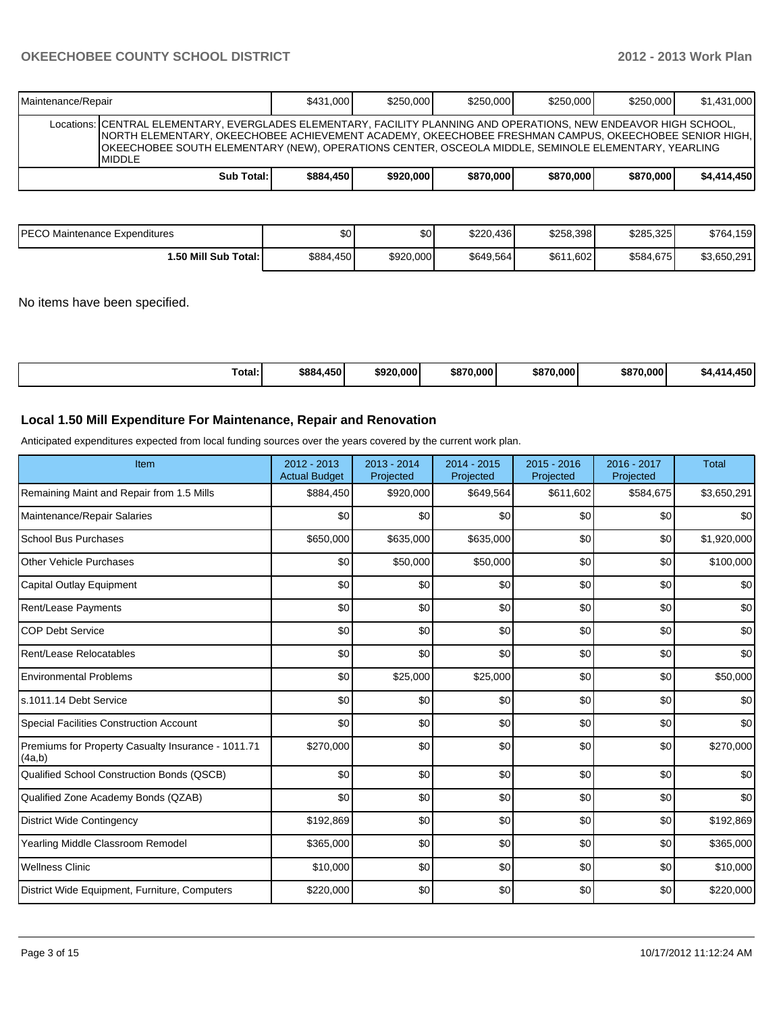| Maintenance/Repair |                                                                                                                                                                                                                                                                                                                                                       | \$431,000 | \$250,000 | \$250,000 | \$250,000 | \$250,000 | \$1,431,000 |
|--------------------|-------------------------------------------------------------------------------------------------------------------------------------------------------------------------------------------------------------------------------------------------------------------------------------------------------------------------------------------------------|-----------|-----------|-----------|-----------|-----------|-------------|
|                    | Locations: CENTRAL ELEMENTARY, EVERGLADES ELEMENTARY, FACILITY PLANNING AND OPERATIONS, NEW ENDEAVOR HIGH SCHOOL,<br>INORTH ELEMENTARY, OKEECHOBEE ACHIEVEMENT ACADEMY, OKEECHOBEE FRESHMAN CAMPUS, OKEECHOBEE SENIOR HIGH, I<br>OKEECHOBEE SOUTH ELEMENTARY (NEW), OPERATIONS CENTER, OSCEOLA MIDDLE, SEMINOLE ELEMENTARY, YEARLING<br><b>MIDDLE</b> |           |           |           |           |           |             |
|                    | Sub Total:                                                                                                                                                                                                                                                                                                                                            | \$884,450 | \$920,000 | \$870,000 | \$870,000 | \$870,000 | \$4.414.450 |

| PECO Maintenance Expenditures | ^^<br>ມປ  | \$0       | \$220,436 | \$258,398 | \$285,325 | \$764,159   |
|-------------------------------|-----------|-----------|-----------|-----------|-----------|-------------|
| 1.50 Mill Sub Total:          | \$884,450 | \$920,000 | \$649.564 | \$611,602 | \$584,675 | \$3,650,291 |

No items have been specified.

| $-$<br>Total: | \$884,450 | \$920,000 | \$870,000 | \$870,000 | \$870.000 | .450<br>%4<br>т. |
|---------------|-----------|-----------|-----------|-----------|-----------|------------------|
|---------------|-----------|-----------|-----------|-----------|-----------|------------------|

## **Local 1.50 Mill Expenditure For Maintenance, Repair and Renovation**

Anticipated expenditures expected from local funding sources over the years covered by the current work plan.

| Item                                                         | 2012 - 2013<br><b>Actual Budget</b> | $2013 - 2014$<br>Projected | $2014 - 2015$<br>Projected | 2015 - 2016<br>Projected | 2016 - 2017<br>Projected | <b>Total</b> |
|--------------------------------------------------------------|-------------------------------------|----------------------------|----------------------------|--------------------------|--------------------------|--------------|
| Remaining Maint and Repair from 1.5 Mills                    | \$884,450                           | \$920,000                  | \$649,564                  | \$611,602                | \$584,675                | \$3,650,291  |
| Maintenance/Repair Salaries                                  | \$0                                 | \$0                        | \$0                        | \$0                      | \$0                      | \$0          |
| <b>School Bus Purchases</b>                                  | \$650,000                           | \$635,000                  | \$635,000                  | \$0                      | \$0                      | \$1,920,000  |
| Other Vehicle Purchases                                      | \$0                                 | \$50,000                   | \$50,000                   | \$0                      | \$0                      | \$100,000    |
| <b>Capital Outlay Equipment</b>                              | \$0                                 | \$0                        | \$0                        | \$0                      | \$0                      | \$0          |
| Rent/Lease Payments                                          | \$0                                 | \$0                        | \$0                        | \$0                      | \$0                      | \$0          |
| <b>COP Debt Service</b>                                      | \$0                                 | \$0                        | \$0                        | \$0                      | \$0                      | \$0          |
| Rent/Lease Relocatables                                      | \$0                                 | \$0                        | \$0                        | \$0                      | \$0                      | \$0          |
| <b>Environmental Problems</b>                                | \$0                                 | \$25,000                   | \$25,000                   | \$0                      | \$0                      | \$50,000     |
| s.1011.14 Debt Service                                       | \$0                                 | \$0                        | \$0                        | \$0                      | \$0                      | \$0          |
| <b>Special Facilities Construction Account</b>               | \$0                                 | \$0                        | \$0                        | \$0                      | \$0                      | \$0          |
| Premiums for Property Casualty Insurance - 1011.71<br>(4a,b) | \$270,000                           | \$0                        | \$0                        | \$0                      | \$0                      | \$270,000    |
| Qualified School Construction Bonds (QSCB)                   | \$0                                 | \$0                        | \$0                        | \$0                      | \$0                      | \$0          |
| Qualified Zone Academy Bonds (QZAB)                          | \$0                                 | \$0                        | \$0                        | \$0                      | \$0                      | \$0          |
| <b>District Wide Contingency</b>                             | \$192,869                           | \$0                        | \$0                        | \$0                      | \$0                      | \$192,869    |
| Yearling Middle Classroom Remodel                            | \$365,000                           | \$0                        | \$0                        | \$0                      | \$0                      | \$365,000    |
| <b>Wellness Clinic</b>                                       | \$10,000                            | \$0                        | \$0                        | \$0                      | \$0                      | \$10,000     |
| District Wide Equipment, Furniture, Computers                | \$220,000                           | \$0                        | \$0                        | \$0                      | \$0                      | \$220,000    |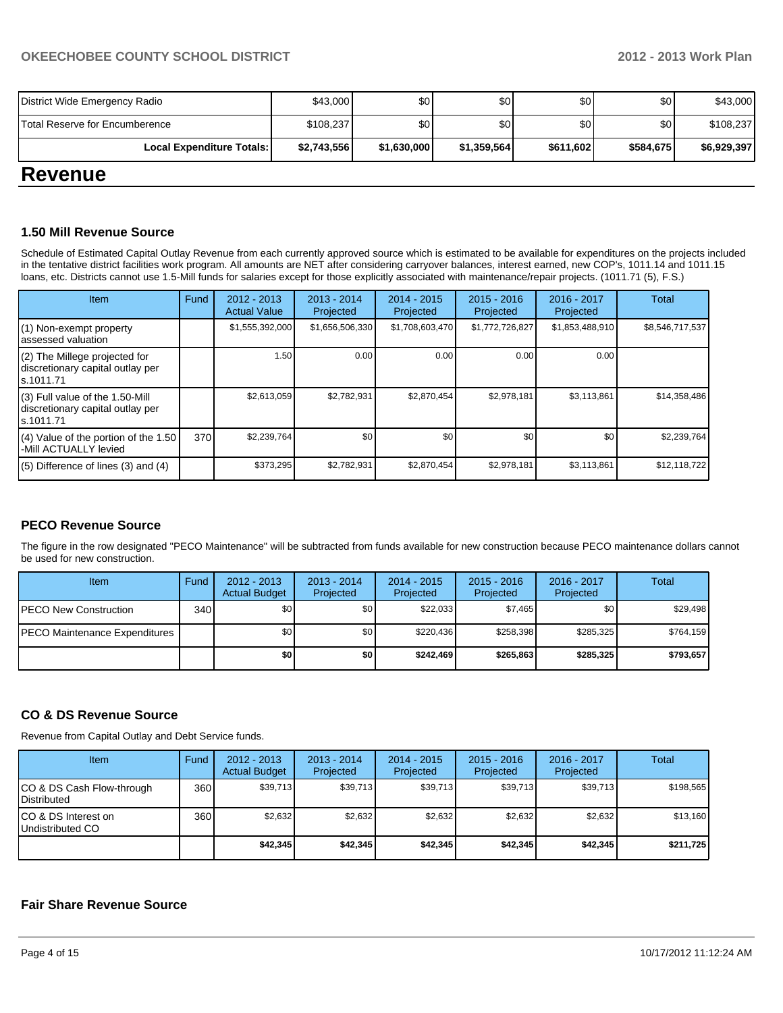| <b>Revenue</b>                 |             |             |             |           |           |             |  |  |  |  |  |
|--------------------------------|-------------|-------------|-------------|-----------|-----------|-------------|--|--|--|--|--|
| Local Expenditure Totals:      | \$2,743,556 | \$1,630,000 | \$1,359,564 | \$611,602 | \$584.675 | \$6,929,397 |  |  |  |  |  |
| Total Reserve for Encumberence | \$108,237   | \$0I        | \$0         | \$0       | \$0       | \$108,237   |  |  |  |  |  |
| District Wide Emergency Radio  | \$43,000    | \$0I        | \$0         | \$0       | \$0       | \$43,000    |  |  |  |  |  |

### **1.50 Mill Revenue Source**

Schedule of Estimated Capital Outlay Revenue from each currently approved source which is estimated to be available for expenditures on the projects included in the tentative district facilities work program. All amounts are NET after considering carryover balances, interest earned, new COP's, 1011.14 and 1011.15 loans, etc. Districts cannot use 1.5-Mill funds for salaries except for those explicitly associated with maintenance/repair projects. (1011.71 (5), F.S.)

| <b>Item</b>                                                                         | Fund | 2012 - 2013<br><b>Actual Value</b> | $2013 - 2014$<br>Projected | 2014 - 2015<br>Projected | $2015 - 2016$<br>Projected | $2016 - 2017$<br>Projected | Total           |
|-------------------------------------------------------------------------------------|------|------------------------------------|----------------------------|--------------------------|----------------------------|----------------------------|-----------------|
| $(1)$ Non-exempt property<br>lassessed valuation                                    |      | \$1,555,392,000                    | \$1,656,506,330            | \$1,708,603,470          | \$1,772,726,827            | \$1,853,488,910            | \$8,546,717,537 |
| (2) The Millege projected for<br>discretionary capital outlay per<br>ls.1011.71     |      | 1.50                               | 0.00                       | 0.00                     | 0.00                       | 0.00                       |                 |
| $(3)$ Full value of the 1.50-Mill<br>discretionary capital outlay per<br>ls.1011.71 |      | \$2,613,059                        | \$2,782,931                | \$2,870,454              | \$2,978,181                | \$3,113,861                | \$14,358,486    |
| (4) Value of the portion of the 1.50<br>-Mill ACTUALLY levied                       | 370  | \$2,239,764                        | \$0                        | \$0                      | \$0                        | \$0                        | \$2,239,764     |
| $(5)$ Difference of lines $(3)$ and $(4)$                                           |      | \$373,295                          | \$2.782.931                | \$2.870.454              | \$2,978,181                | \$3,113,861                | \$12,118,722    |

## **PECO Revenue Source**

The figure in the row designated "PECO Maintenance" will be subtracted from funds available for new construction because PECO maintenance dollars cannot be used for new construction.

| Item                          | Fund | $2012 - 2013$<br><b>Actual Budget</b> | $2013 - 2014$<br>Projected | $2014 - 2015$<br>Projected | $2015 - 2016$<br>Projected | $2016 - 2017$<br>Projected | Total     |
|-------------------------------|------|---------------------------------------|----------------------------|----------------------------|----------------------------|----------------------------|-----------|
| IPECO New Construction        | 340  | \$0                                   | \$0 I                      | \$22.033                   | \$7.465                    | \$0                        | \$29,498  |
| PECO Maintenance Expenditures |      | \$0                                   | \$0                        | \$220.436                  | \$258.398                  | \$285,325                  | \$764,159 |
|                               |      | \$0                                   | \$0 I                      | \$242,469                  | \$265.863                  | \$285,325                  | \$793,657 |

## **CO & DS Revenue Source**

Revenue from Capital Outlay and Debt Service funds.

| <b>Item</b>                                     | Fund | $2012 - 2013$<br><b>Actual Budget</b> | $2013 - 2014$<br>Projected | 2014 - 2015<br>Projected | $2015 - 2016$<br>Projected | $2016 - 2017$<br>Projected | Total     |
|-------------------------------------------------|------|---------------------------------------|----------------------------|--------------------------|----------------------------|----------------------------|-----------|
| CO & DS Cash Flow-through<br><b>Distributed</b> | 360  | \$39,713                              | \$39,713                   | \$39,713                 | \$39,713                   | \$39,713                   | \$198,565 |
| CO & DS Interest on<br>Undistributed CO         | 360  | \$2,632                               | \$2,632                    | \$2.632                  | \$2.632                    | \$2,632                    | \$13,160  |
|                                                 |      | \$42,345                              | \$42,345                   | \$42.345                 | \$42,345                   | \$42,345                   | \$211,725 |

### **Fair Share Revenue Source**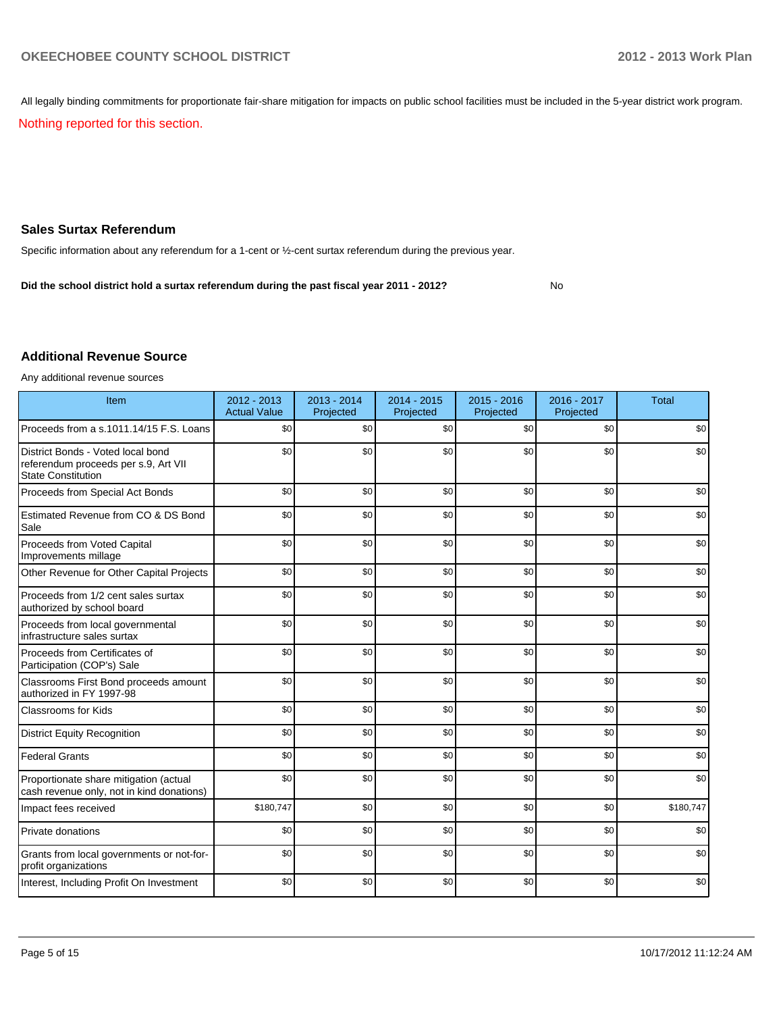All legally binding commitments for proportionate fair-share mitigation for impacts on public school facilities must be included in the 5-year district work program.

Nothing reported for this section.

## **Sales Surtax Referendum**

Specific information about any referendum for a 1-cent or ½-cent surtax referendum during the previous year.

No **Did the school district hold a surtax referendum during the past fiscal year 2011 - 2012?**

### **Additional Revenue Source**

Any additional revenue sources

| Item                                                                                                   | 2012 - 2013<br><b>Actual Value</b> | $2013 - 2014$<br>Projected | 2014 - 2015<br>Projected | $2015 - 2016$<br>Projected | 2016 - 2017<br>Projected | <b>Total</b> |
|--------------------------------------------------------------------------------------------------------|------------------------------------|----------------------------|--------------------------|----------------------------|--------------------------|--------------|
| Proceeds from a s.1011.14/15 F.S. Loans                                                                | \$0                                | \$0                        | \$0                      | \$0                        | \$0                      | \$0          |
| District Bonds - Voted local bond<br>referendum proceeds per s.9, Art VII<br><b>State Constitution</b> | \$0                                | \$0                        | \$0                      | \$0                        | \$0                      | \$0          |
| Proceeds from Special Act Bonds                                                                        | \$0                                | \$0                        | \$0                      | \$0                        | \$0                      | \$0          |
| Estimated Revenue from CO & DS Bond<br>Sale                                                            | \$0                                | \$0                        | \$0                      | \$0                        | \$0                      | \$0          |
| Proceeds from Voted Capital<br>Improvements millage                                                    | \$0                                | \$0                        | \$0                      | \$0                        | \$0                      | \$0          |
| Other Revenue for Other Capital Projects                                                               | \$0                                | \$0                        | \$0                      | \$0                        | \$0                      | \$0          |
| Proceeds from 1/2 cent sales surtax<br>authorized by school board                                      | \$0                                | \$0                        | \$0                      | \$0                        | \$0                      | \$0          |
| Proceeds from local governmental<br>infrastructure sales surtax                                        | \$0                                | \$0                        | \$0                      | \$0                        | \$0                      | \$0          |
| Proceeds from Certificates of<br>Participation (COP's) Sale                                            | \$0                                | \$0                        | \$0                      | \$0                        | \$0                      | \$0          |
| Classrooms First Bond proceeds amount<br>authorized in FY 1997-98                                      | \$0                                | \$0                        | \$0                      | \$0                        | \$0                      | \$0          |
| <b>Classrooms for Kids</b>                                                                             | \$0                                | \$0                        | \$0                      | \$0                        | \$0                      | \$0          |
| <b>District Equity Recognition</b>                                                                     | \$0                                | \$0                        | \$0                      | \$0                        | \$0                      | \$0          |
| <b>Federal Grants</b>                                                                                  | \$0                                | \$0                        | \$0                      | \$0                        | \$0                      | \$0          |
| Proportionate share mitigation (actual<br>cash revenue only, not in kind donations)                    | \$0                                | \$0                        | \$0                      | \$0                        | \$0                      | \$0          |
| Impact fees received                                                                                   | \$180,747                          | \$0                        | \$0                      | \$0                        | \$0                      | \$180,747    |
| Private donations                                                                                      | \$0                                | \$0                        | \$0                      | \$0                        | \$0                      | \$0          |
| Grants from local governments or not-for-<br>profit organizations                                      | \$0                                | \$0                        | \$0                      | \$0                        | \$0                      | \$0          |
| Interest, Including Profit On Investment                                                               | \$0                                | \$0                        | \$0                      | \$0                        | \$0                      | \$0          |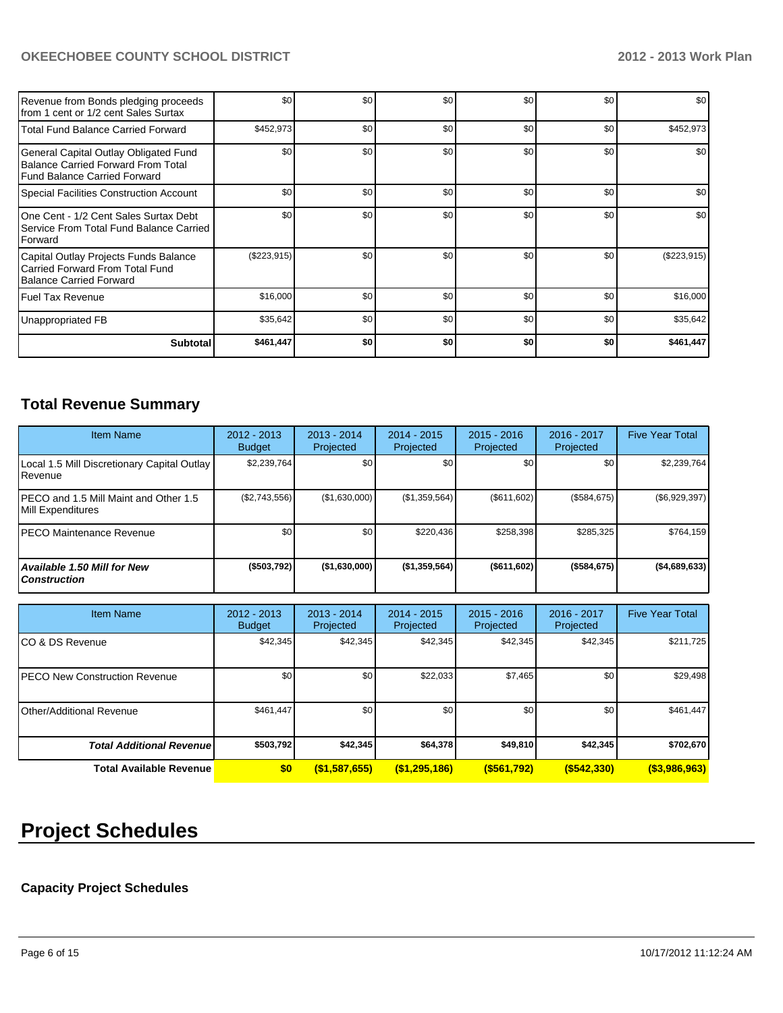| Revenue from Bonds pledging proceeds<br>Ifrom 1 cent or 1/2 cent Sales Surtax                               | \$0         | \$0 | \$0 | \$0              | \$0              | \$0           |
|-------------------------------------------------------------------------------------------------------------|-------------|-----|-----|------------------|------------------|---------------|
| Total Fund Balance Carried Forward                                                                          | \$452,973   | \$0 | \$0 | \$0              | \$0 <sub>1</sub> | \$452,973     |
| General Capital Outlay Obligated Fund<br>Balance Carried Forward From Total<br>Fund Balance Carried Forward | \$0         | \$0 | \$0 | \$0              | \$0              | \$0           |
| Special Facilities Construction Account                                                                     | \$0         | \$0 | \$0 | \$0              | \$0              | \$0           |
| One Cent - 1/2 Cent Sales Surtax Debt<br>Service From Total Fund Balance Carried<br>Forward                 | \$0         | \$0 | \$0 | \$0              | \$0              | \$0           |
| Capital Outlay Projects Funds Balance<br>Carried Forward From Total Fund<br>Balance Carried Forward         | (\$223,915) | \$0 | \$0 | \$0              | \$0              | $(\$223,915)$ |
| Fuel Tax Revenue                                                                                            | \$16,000    | \$0 | \$0 | \$0              | \$0              | \$16,000      |
| Unappropriated FB                                                                                           | \$35,642    | \$0 | \$0 | \$0 <sub>1</sub> | \$0              | \$35,642      |
| <b>Subtotal</b>                                                                                             | \$461,447   | \$0 | \$0 | \$0              | \$0              | \$461,447     |

## **Total Revenue Summary**

| Item Name                                                       | 2012 - 2013<br><b>Budget</b> | $2013 - 2014$<br>Projected | $2014 - 2015$<br>Projected | $2015 - 2016$<br>Projected | $2016 - 2017$<br>Projected | <b>Five Year Total</b> |
|-----------------------------------------------------------------|------------------------------|----------------------------|----------------------------|----------------------------|----------------------------|------------------------|
| Local 1.5 Mill Discretionary Capital Outlay<br><b>I</b> Revenue | \$2,239,764                  | \$0                        | \$0                        | \$0                        | \$0                        | \$2,239,764            |
| IPECO and 1.5 Mill Maint and Other 1.5<br>Mill Expenditures     | (\$2,743,556)                | (\$1,630,000)              | (S1, 359, 564)             | (\$611,602)                | (\$584,675)                | $(\$6,929,397)$        |
| IPECO Maintenance Revenue                                       | \$0 <sub>1</sub>             | \$0                        | \$220.436                  | \$258.398                  | \$285.325                  | \$764,159              |
| Available 1.50 Mill for New<br><b>Construction</b>              | ( \$503, 792)                | (\$1,630,000)              | (\$1,359,564)              | (S611, 602)                | $($ \$584,675)             | (\$4,689,633)          |

| <b>Item Name</b>                 | 2012 - 2013<br><b>Budget</b> | $2013 - 2014$<br>Projected | $2014 - 2015$<br>Projected | $2015 - 2016$<br>Projected | 2016 - 2017<br>Projected | <b>Five Year Total</b> |
|----------------------------------|------------------------------|----------------------------|----------------------------|----------------------------|--------------------------|------------------------|
| ICO & DS Revenue                 | \$42,345                     | \$42,345                   | \$42,345                   | \$42,345                   | \$42,345                 | \$211,725              |
| IPECO New Construction Revenue   | \$0 <sub>1</sub>             | \$0                        | \$22,033                   | \$7,465                    | \$0                      | \$29,498               |
| Other/Additional Revenue         | \$461,447                    | \$0                        | \$0                        | \$0                        | \$0                      | \$461,447              |
| <b>Total Additional Revenuel</b> | \$503,792                    | \$42,345                   | \$64,378                   | \$49,810                   | \$42,345                 | \$702,670              |
| Total Available Revenue          | \$0                          | (\$1,587,655)              | (\$1,295,186)              | ( \$561, 792)              | $($ \$542,330)           | $($ \$3,986,963)       |

# **Project Schedules**

## **Capacity Project Schedules**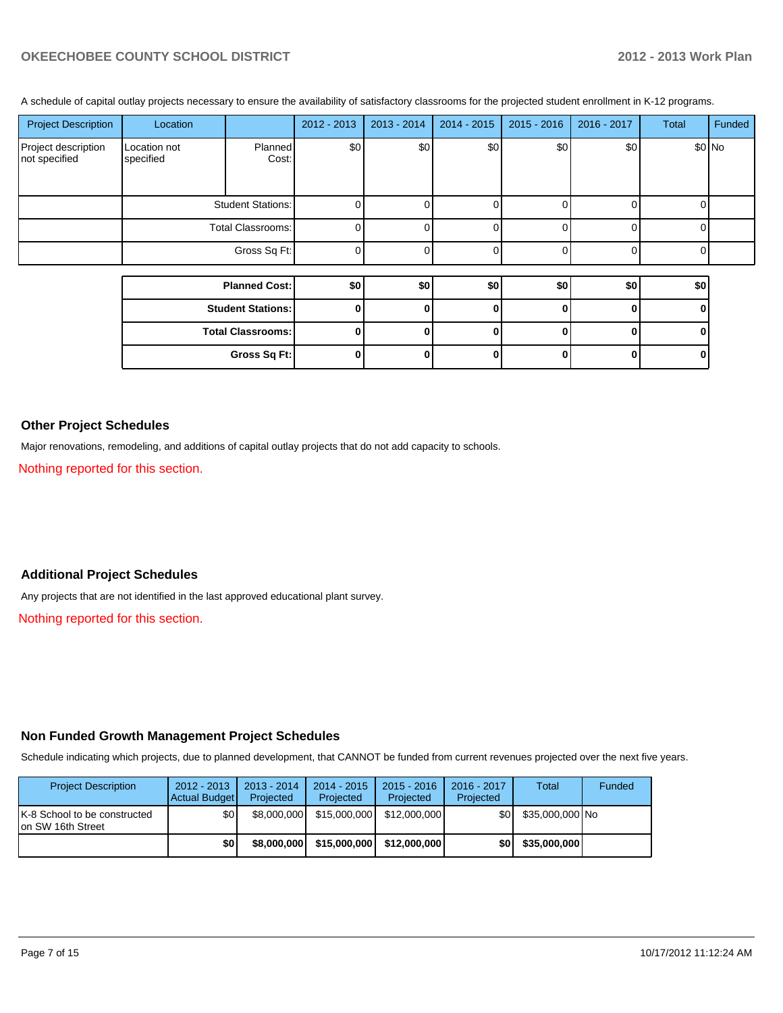A schedule of capital outlay projects necessary to ensure the availability of satisfactory classrooms for the projected student enrollment in K-12 programs.

| <b>Project Description</b>           | Location                  |                          | 2012 - 2013  | 2013 - 2014 | 2014 - 2015  | $2015 - 2016$ | 2016 - 2017 | <b>Total</b> | Funded |
|--------------------------------------|---------------------------|--------------------------|--------------|-------------|--------------|---------------|-------------|--------------|--------|
| Project description<br>not specified | Location not<br>specified | Planned<br>Cost:         | \$0          | \$0         | \$0]         | \$0           | \$0         | \$0 No       |        |
|                                      | <b>Student Stations:</b>  |                          | $\Omega$     |             |              |               |             |              |        |
|                                      | Total Classrooms:         |                          | $\Omega$     |             |              |               |             |              |        |
|                                      |                           | Gross Sq Ft:             | $\Omega$     |             |              |               |             |              |        |
|                                      |                           |                          |              |             |              |               |             |              |        |
|                                      | <b>Planned Cost:</b>      |                          | \$0          | \$0         | \$0          | \$0           | \$0         | \$0          |        |
|                                      | <b>Student Stations:</b>  |                          | 0            | n           | $\mathbf{0}$ |               |             |              |        |
|                                      |                           | <b>Total Classrooms:</b> | $\mathbf{0}$ | 0           | 0            |               |             |              |        |

**Gross Sq Ft: 0 0 0 0 0 0**

### **Other Project Schedules**

Major renovations, remodeling, and additions of capital outlay projects that do not add capacity to schools.

Nothing reported for this section.

### **Additional Project Schedules**

Any projects that are not identified in the last approved educational plant survey.

Nothing reported for this section.

#### **Non Funded Growth Management Project Schedules**

Schedule indicating which projects, due to planned development, that CANNOT be funded from current revenues projected over the next five years.

| <b>Project Description</b>                                | $2012 - 2013$<br>Actual Budget | $2013 - 2014$<br>Projected | $2014 - 2015$<br>Projected | $2015 - 2016$<br>Projected | 2016 - 2017<br>Projected | <b>Total</b>    | Funded |
|-----------------------------------------------------------|--------------------------------|----------------------------|----------------------------|----------------------------|--------------------------|-----------------|--------|
| <b>K-8 School to be constructed</b><br>Ion SW 16th Street | \$0                            | \$8.000.000                | \$15,000,000               | \$12,000,000               | \$0 I                    | \$35,000,000 No |        |
|                                                           | \$0                            | \$8,000,000                | \$15,000,000               | \$12,000,000               | \$0 I                    | \$35,000,000    |        |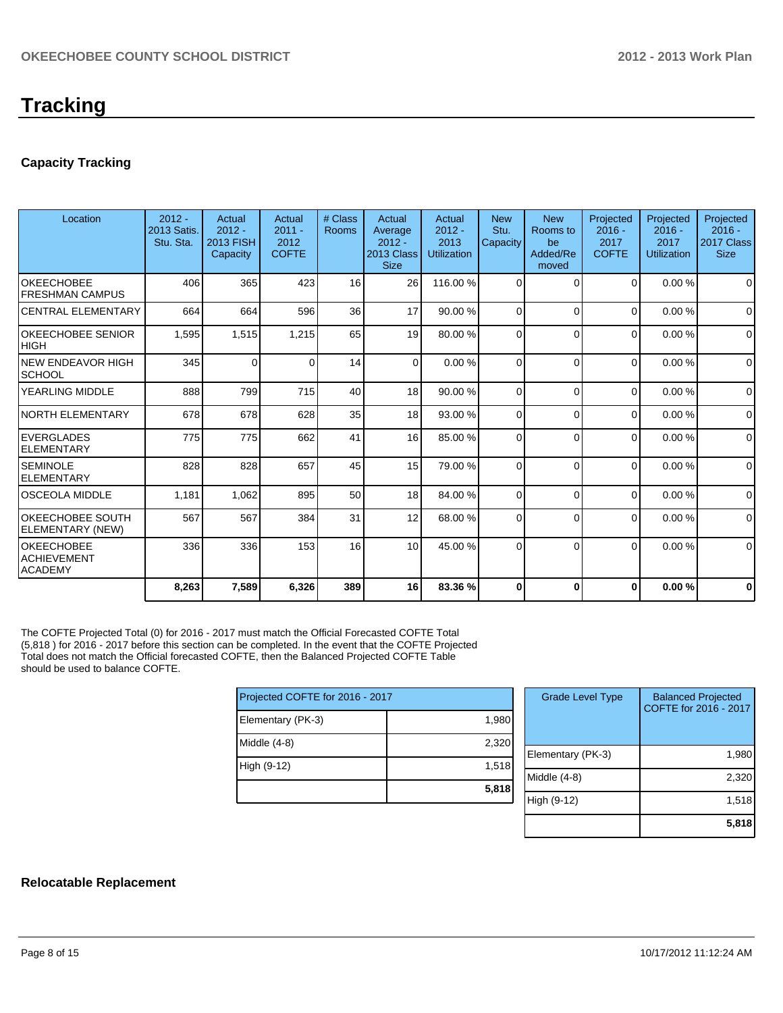## **Capacity Tracking**

| Location                                                  | $2012 -$<br>2013 Satis.<br>Stu. Sta. | Actual<br>$2012 -$<br>2013 FISH<br>Capacity | Actual<br>$2011 -$<br>2012<br><b>COFTE</b> | # Class<br><b>Rooms</b> | Actual<br>Average<br>$2012 -$<br>2013 Class<br><b>Size</b> | Actual<br>$2012 -$<br>2013<br>Utilization | <b>New</b><br>Stu.<br>Capacity | <b>New</b><br>Rooms to<br>be<br>Added/Re<br>moved | Projected<br>$2016 -$<br>2017<br><b>COFTE</b> | Projected<br>$2016 -$<br>2017<br>Utilization | Projected<br>$2016 -$<br>2017 Class<br><b>Size</b> |
|-----------------------------------------------------------|--------------------------------------|---------------------------------------------|--------------------------------------------|-------------------------|------------------------------------------------------------|-------------------------------------------|--------------------------------|---------------------------------------------------|-----------------------------------------------|----------------------------------------------|----------------------------------------------------|
| <b>OKEECHOBEE</b><br><b>FRESHMAN CAMPUS</b>               | 406                                  | 365                                         | 423                                        | 16                      | 26                                                         | 116.00 %                                  | $\Omega$                       | $\Omega$                                          | $\Omega$                                      | 0.00%                                        | $\Omega$                                           |
| <b>CENTRAL ELEMENTARY</b>                                 | 664                                  | 664                                         | 596                                        | 36                      | 17                                                         | 90.00 %                                   | $\Omega$                       | $\Omega$                                          | $\Omega$                                      | 0.00%                                        | $\mathbf 0$                                        |
| <b>OKEECHOBEE SENIOR</b><br><b>HIGH</b>                   | 1,595                                | 1,515                                       | 1,215                                      | 65                      | 19                                                         | 80.00 %                                   | 0                              | $\Omega$                                          | $\Omega$                                      | 0.00%                                        | $\mathbf 0$                                        |
| <b>NEW ENDEAVOR HIGH</b><br><b>SCHOOL</b>                 | 345                                  | $\Omega$                                    | $\Omega$                                   | 14                      | $\Omega$                                                   | 0.00%                                     | $\Omega$                       | $\Omega$                                          | 0                                             | 0.00%                                        | $\Omega$                                           |
| YEARLING MIDDLE                                           | 888                                  | 799                                         | 715                                        | 40                      | 18                                                         | 90.00 %                                   | 0                              | $\Omega$                                          | $\Omega$                                      | 0.00%                                        | $\Omega$                                           |
| <b>NORTH ELEMENTARY</b>                                   | 678                                  | 678                                         | 628                                        | 35                      | 18 <sup>1</sup>                                            | 93.00 %                                   | $\Omega$                       | $\Omega$                                          | 0                                             | 0.00%                                        | $\Omega$                                           |
| <b>EVERGLADES</b><br><b>ELEMENTARY</b>                    | 775                                  | 775                                         | 662                                        | 41                      | 16                                                         | 85.00 %                                   | $\Omega$                       | $\Omega$                                          | 0                                             | 0.00%                                        | $\mathbf 0$                                        |
| <b>SEMINOLE</b><br><b>ELEMENTARY</b>                      | 828                                  | 828                                         | 657                                        | 45                      | 15                                                         | 79.00 %                                   | $\Omega$                       | $\Omega$                                          | 0                                             | 0.00%                                        | $\Omega$                                           |
| <b>OSCEOLA MIDDLE</b>                                     | 1,181                                | 1,062                                       | 895                                        | 50                      | 18                                                         | 84.00 %                                   | $\Omega$                       | $\Omega$                                          | $\Omega$                                      | 0.00%                                        | $\Omega$                                           |
| <b>OKEECHOBEE SOUTH</b><br>ELEMENTARY (NEW)               | 567                                  | 567                                         | 384                                        | 31                      | 12                                                         | 68.00 %                                   | $\Omega$                       | $\Omega$                                          | $\Omega$                                      | 0.00%                                        | $\Omega$                                           |
| <b>OKEECHOBEE</b><br><b>ACHIEVEMENT</b><br><b>ACADEMY</b> | 336                                  | 336                                         | 153                                        | 16                      | 10 <sup>1</sup>                                            | 45.00 %                                   | $\Omega$                       | $\Omega$                                          | 0                                             | 0.00%                                        | $\Omega$                                           |
|                                                           | 8,263                                | 7,589                                       | 6,326                                      | 389                     | 16                                                         | 83.36 %                                   | 0                              | $\bf{0}$                                          | $\Omega$                                      | 0.00%                                        | $\bf{0}$                                           |

The COFTE Projected Total (0) for 2016 - 2017 must match the Official Forecasted COFTE Total (5,818 ) for 2016 - 2017 before this section can be completed. In the event that the COFTE Projected Total does not match the Official forecasted COFTE, then the Balanced Projected COFTE Table should be used to balance COFTE.

|                   | Projected COFTE for 2016 - 2017 |  |  |  |  |  |
|-------------------|---------------------------------|--|--|--|--|--|
| Elementary (PK-3) | 1,980                           |  |  |  |  |  |
| Middle (4-8)      | 2,320                           |  |  |  |  |  |
| High (9-12)       | 1,518                           |  |  |  |  |  |
|                   | 5,818                           |  |  |  |  |  |

| <b>Grade Level Type</b> | <b>Balanced Projected</b><br>COFTE for 2016 - 2017 |
|-------------------------|----------------------------------------------------|
| Elementary (PK-3)       | 1,980                                              |
| Middle (4-8)            | 2,320                                              |
| High (9-12)             | 1,518                                              |
|                         | 5.81                                               |

## **Relocatable Replacement**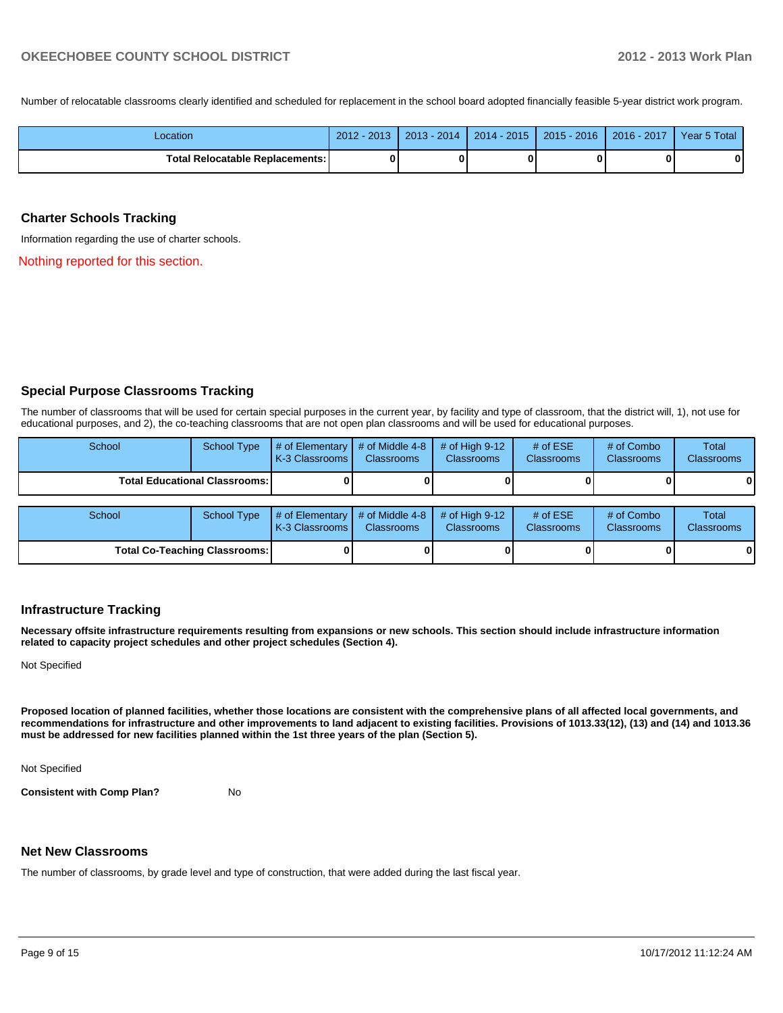Number of relocatable classrooms clearly identified and scheduled for replacement in the school board adopted financially feasible 5-year district work program.

| -ocation                                 | 2013<br>2012 | 2014<br>2013 | $2014 - 2015$ | $2015 - 2016$ | 2017<br>$2016 -$ | Year 5 Total |
|------------------------------------------|--------------|--------------|---------------|---------------|------------------|--------------|
| <b>Total Relocatable Replacements: I</b> |              | ŋ            |               |               |                  | 0            |

#### **Charter Schools Tracking**

Information regarding the use of charter schools.

Nothing reported for this section.

### **Special Purpose Classrooms Tracking**

The number of classrooms that will be used for certain special purposes in the current year, by facility and type of classroom, that the district will, 1), not use for educational purposes, and 2), the co-teaching classrooms that are not open plan classrooms and will be used for educational purposes.

| School                                 | <b>School Type</b> | $\parallel$ # of Elementary $\parallel$ # of Middle 4-8 $\parallel$<br><b>K-3 Classrooms L</b>  | <b>Classrooms</b> | $\#$ of Hiah 9-12<br><b>Classrooms</b> | # of $ESE$<br><b>Classrooms</b> | # of Combo<br><b>Classrooms</b> | Total<br><b>Classrooms</b> |
|----------------------------------------|--------------------|-------------------------------------------------------------------------------------------------|-------------------|----------------------------------------|---------------------------------|---------------------------------|----------------------------|
| <b>Total Educational Classrooms: I</b> |                    |                                                                                                 |                   |                                        |                                 | $\mathbf{0}$                    |                            |
|                                        |                    |                                                                                                 |                   |                                        |                                 |                                 |                            |
| School                                 | School Type        | $\#$ of Elementary $\#$ of Middle 4-8 $\#$ of High 9-12<br>K <sub>2</sub> Clossrooms Clossrooms |                   | Clossrooms                             | # of $ESE$<br>Clossrooms        | # of Combo<br>Clossrooms        | Total<br>Clossrooms        |

| ------                        | $\sim$ | $\blacksquare$ $\blacksquare$ $\blacksquare$ $\blacksquare$ $\blacksquare$ $\blacksquare$ $\blacksquare$ $\blacksquare$ $\blacksquare$ $\blacksquare$ $\blacksquare$ $\blacksquare$ $\blacksquare$ $\blacksquare$ $\blacksquare$ $\blacksquare$ $\blacksquare$ $\blacksquare$ $\blacksquare$ $\blacksquare$ $\blacksquare$ $\blacksquare$ $\blacksquare$ $\blacksquare$ $\blacksquare$ $\blacksquare$ $\blacksquare$ $\blacksquare$ $\blacksquare$ $\blacksquare$ $\blacksquare$ $\blacks$<br><b>K-3 Classrooms I</b> | <b>Classrooms</b> | <b>Classrooms</b> | . <del>.</del><br><b>Classrooms</b> | $\sim$ $\sim$ $\sim$ $\sim$ $\sim$ $\sim$<br><b>Classrooms</b> | .<br><b>Classrooms</b> |
|-------------------------------|--------|-----------------------------------------------------------------------------------------------------------------------------------------------------------------------------------------------------------------------------------------------------------------------------------------------------------------------------------------------------------------------------------------------------------------------------------------------------------------------------------------------------------------------|-------------------|-------------------|-------------------------------------|----------------------------------------------------------------|------------------------|
| Total Co-Teaching Classrooms: |        |                                                                                                                                                                                                                                                                                                                                                                                                                                                                                                                       |                   |                   |                                     |                                                                | 0                      |

## **Infrastructure Tracking**

**Necessary offsite infrastructure requirements resulting from expansions or new schools. This section should include infrastructure information related to capacity project schedules and other project schedules (Section 4).**

Not Specified

**Proposed location of planned facilities, whether those locations are consistent with the comprehensive plans of all affected local governments, and recommendations for infrastructure and other improvements to land adjacent to existing facilities. Provisions of 1013.33(12), (13) and (14) and 1013.36 must be addressed for new facilities planned within the 1st three years of the plan (Section 5).**

Not Specified

**Consistent with Comp Plan?** No

### **Net New Classrooms**

The number of classrooms, by grade level and type of construction, that were added during the last fiscal year.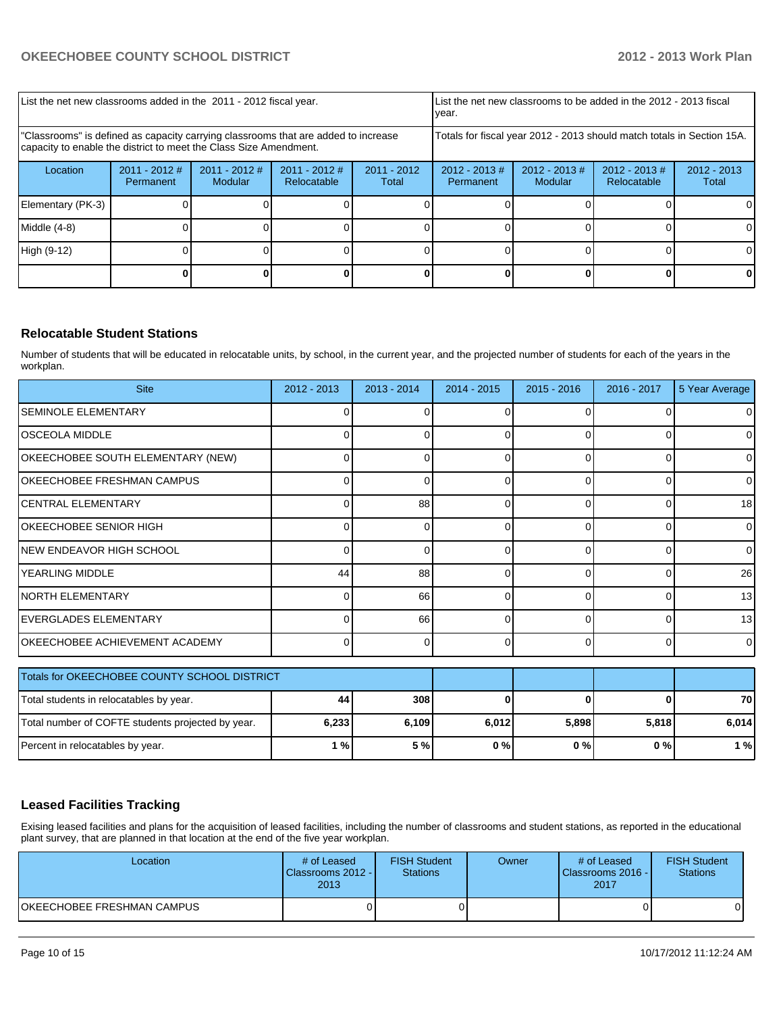| List the net new classrooms added in the 2011 - 2012 fiscal year.                                                                                       |                              |                            | List the net new classrooms to be added in the 2012 - 2013 fiscal<br>Ivear. |                                                                        |                              |                             |                                |                        |
|---------------------------------------------------------------------------------------------------------------------------------------------------------|------------------------------|----------------------------|-----------------------------------------------------------------------------|------------------------------------------------------------------------|------------------------------|-----------------------------|--------------------------------|------------------------|
| "Classrooms" is defined as capacity carrying classrooms that are added to increase<br>capacity to enable the district to meet the Class Size Amendment. |                              |                            |                                                                             | Totals for fiscal year 2012 - 2013 should match totals in Section 15A. |                              |                             |                                |                        |
| Location                                                                                                                                                | $2011 - 2012$ #<br>Permanent | $2011 - 2012$ #<br>Modular | $2011 - 2012$ #<br>Relocatable                                              | $2011 - 2012$<br>Total                                                 | $2012 - 2013$ #<br>Permanent | $2012 - 2013 \#$<br>Modular | $2012 - 2013$ #<br>Relocatable | $2012 - 2013$<br>Total |
| Elementary (PK-3)                                                                                                                                       |                              |                            |                                                                             |                                                                        |                              |                             |                                |                        |
| Middle $(4-8)$                                                                                                                                          |                              |                            |                                                                             |                                                                        |                              |                             |                                | ΟI                     |
| High (9-12)                                                                                                                                             |                              |                            |                                                                             |                                                                        |                              |                             |                                | 0                      |
|                                                                                                                                                         |                              |                            |                                                                             |                                                                        |                              |                             |                                |                        |

## **Relocatable Student Stations**

Number of students that will be educated in relocatable units, by school, in the current year, and the projected number of students for each of the years in the workplan.

| <b>Site</b>                           | 2012 - 2013 | $2013 - 2014$ | $2014 - 2015$ | $2015 - 2016$ | $2016 - 2017$ | 5 Year Average |
|---------------------------------------|-------------|---------------|---------------|---------------|---------------|----------------|
| <b>SEMINOLE ELEMENTARY</b>            |             |               |               |               |               | $\Omega$       |
| IOSCEOLA MIDDLE                       |             |               |               |               |               | $\Omega$       |
| OKEECHOBEE SOUTH ELEMENTARY (NEW)     |             |               |               |               |               | 0              |
| <b>OKEECHOBEE FRESHMAN CAMPUS</b>     |             |               |               | ∩             |               | 0              |
| ICENTRAL ELEMENTARY                   |             | 88            | 0             | 0             |               | 18             |
| OKEECHOBEE SENIOR HIGH                |             |               | 0             | $\Omega$      |               | $\overline{0}$ |
| INEW ENDEAVOR HIGH SCHOOL             |             |               | <sup>0</sup>  | $\Omega$      |               | $\overline{0}$ |
| IYEARLING MIDDLE                      | 44          | 88            | $\Omega$      | $\Omega$      |               | 26             |
| INORTH ELEMENTARY                     |             | 66            | ∩             | ∩             |               | 13             |
| EVERGLADES ELEMENTARY                 |             | 66            | $\Omega$      | $\Omega$      |               | 13             |
| <b>OKEECHOBEE ACHIEVEMENT ACADEMY</b> |             |               | $\Omega$      | $\Omega$      |               | $\overline{0}$ |

| Totals for OKEECHOBEE COUNTY SCHOOL DISTRICT      |       |       |       |       |       |       |
|---------------------------------------------------|-------|-------|-------|-------|-------|-------|
| Total students in relocatables by year.           | 44    | 308   |       |       |       | 70    |
| Total number of COFTE students projected by year. | 6,233 | 6.109 | 6,012 | 5.898 | 5.818 | 6.014 |
| Percent in relocatables by year.                  | 1 % I | 5 %   | 0%    | 0%    | 0%    | 1 %   |

## **Leased Facilities Tracking**

Exising leased facilities and plans for the acquisition of leased facilities, including the number of classrooms and student stations, as reported in the educational plant survey, that are planned in that location at the end of the five year workplan.

| Location                   | # of Leased<br>Classrooms 2012 -<br>2013 | <b>FISH Student</b><br><b>Stations</b> | Owner | # of Leased<br>Classrooms 2016 - I<br>2017 | <b>FISH Student</b><br>Stations |
|----------------------------|------------------------------------------|----------------------------------------|-------|--------------------------------------------|---------------------------------|
| OKEECHOBEE FRESHMAN CAMPUS |                                          |                                        |       |                                            | οı                              |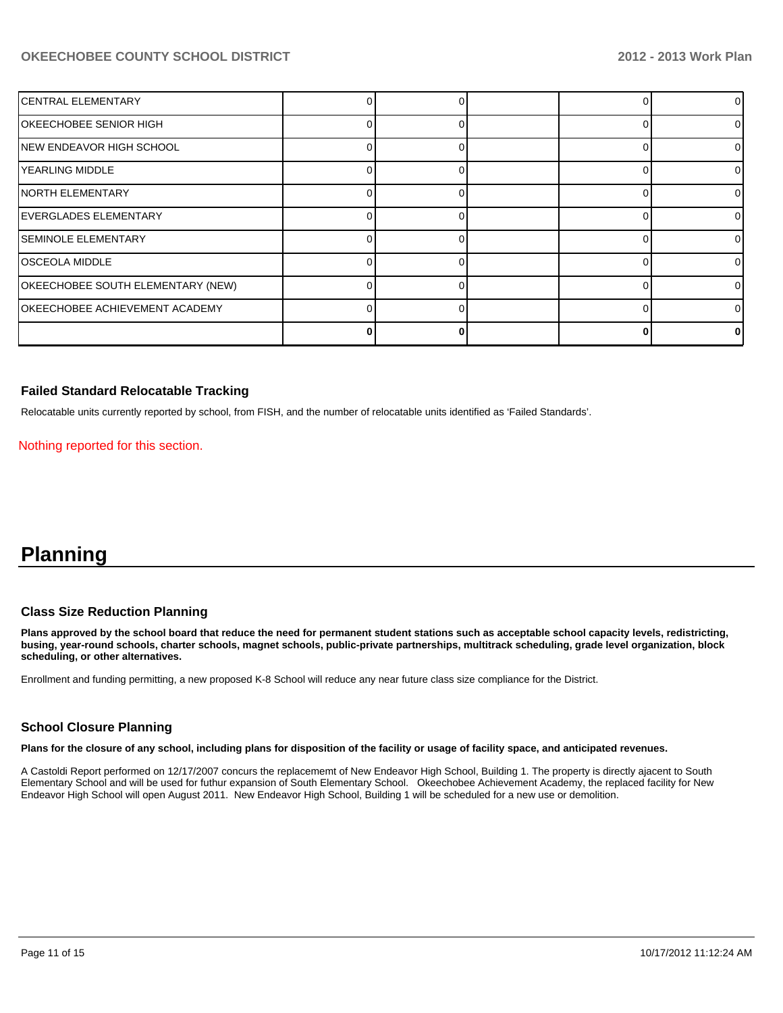| <b>CENTRAL ELEMENTARY</b>             |  |  | 01       |
|---------------------------------------|--|--|----------|
| OKEECHOBEE SENIOR HIGH                |  |  | 01       |
| NEW ENDEAVOR HIGH SCHOOL              |  |  | 01       |
| YEARLING MIDDLE                       |  |  | 01       |
| INORTH ELEMENTARY                     |  |  | 01       |
| <b>EVERGLADES ELEMENTARY</b>          |  |  | $\Omega$ |
| <b>SEMINOLE ELEMENTARY</b>            |  |  | 01       |
| <b>OSCEOLA MIDDLE</b>                 |  |  | $\Omega$ |
| OKEECHOBEE SOUTH ELEMENTARY (NEW)     |  |  | $\Omega$ |
| <b>OKEECHOBEE ACHIEVEMENT ACADEMY</b> |  |  | 01       |
|                                       |  |  | n.       |

### **Failed Standard Relocatable Tracking**

Relocatable units currently reported by school, from FISH, and the number of relocatable units identified as 'Failed Standards'.

Nothing reported for this section.

## **Planning**

#### **Class Size Reduction Planning**

**Plans approved by the school board that reduce the need for permanent student stations such as acceptable school capacity levels, redistricting, busing, year-round schools, charter schools, magnet schools, public-private partnerships, multitrack scheduling, grade level organization, block scheduling, or other alternatives.**

Enrollment and funding permitting, a new proposed K-8 School will reduce any near future class size compliance for the District.

### **School Closure Planning**

**Plans for the closure of any school, including plans for disposition of the facility or usage of facility space, and anticipated revenues.**

A Castoldi Report performed on 12/17/2007 concurs the replacememt of New Endeavor High School, Building 1. The property is directly ajacent to South Elementary School and will be used for futhur expansion of South Elementary School. Okeechobee Achievement Academy, the replaced facility for New Endeavor High School will open August 2011. New Endeavor High School, Building 1 will be scheduled for a new use or demolition.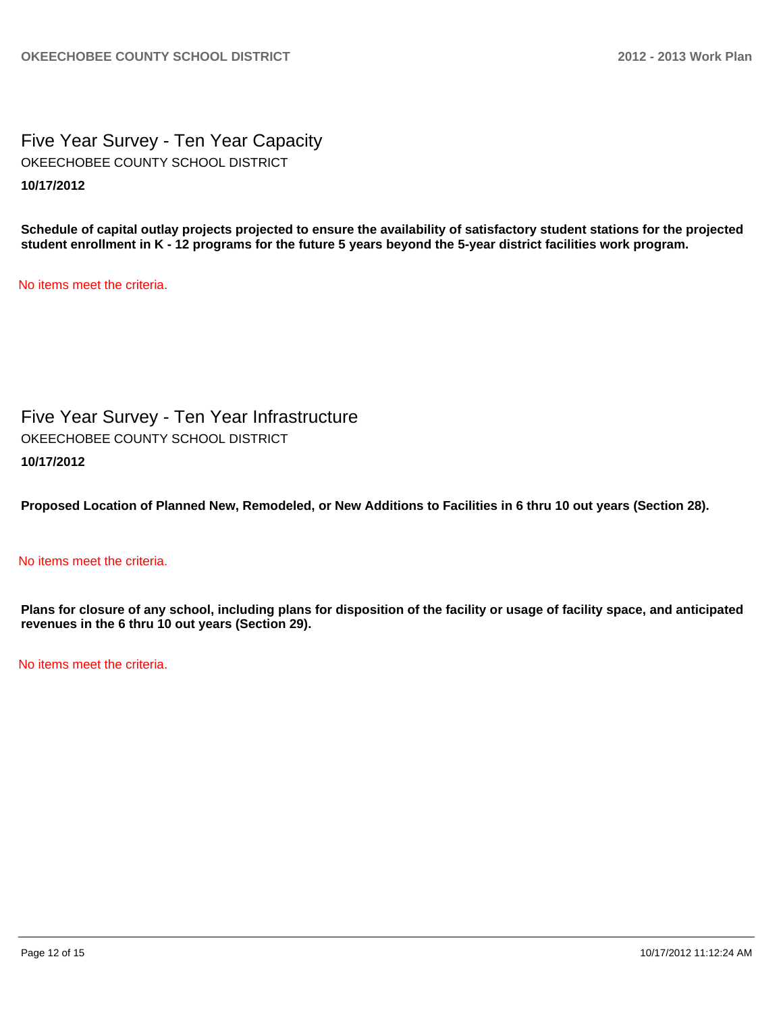Five Year Survey - Ten Year Capacity **10/17/2012** OKEECHOBEE COUNTY SCHOOL DISTRICT

**Schedule of capital outlay projects projected to ensure the availability of satisfactory student stations for the projected student enrollment in K - 12 programs for the future 5 years beyond the 5-year district facilities work program.**

No items meet the criteria.

Five Year Survey - Ten Year Infrastructure **10/17/2012** OKEECHOBEE COUNTY SCHOOL DISTRICT

**Proposed Location of Planned New, Remodeled, or New Additions to Facilities in 6 thru 10 out years (Section 28).**

## No items meet the criteria.

**Plans for closure of any school, including plans for disposition of the facility or usage of facility space, and anticipated revenues in the 6 thru 10 out years (Section 29).**

No items meet the criteria.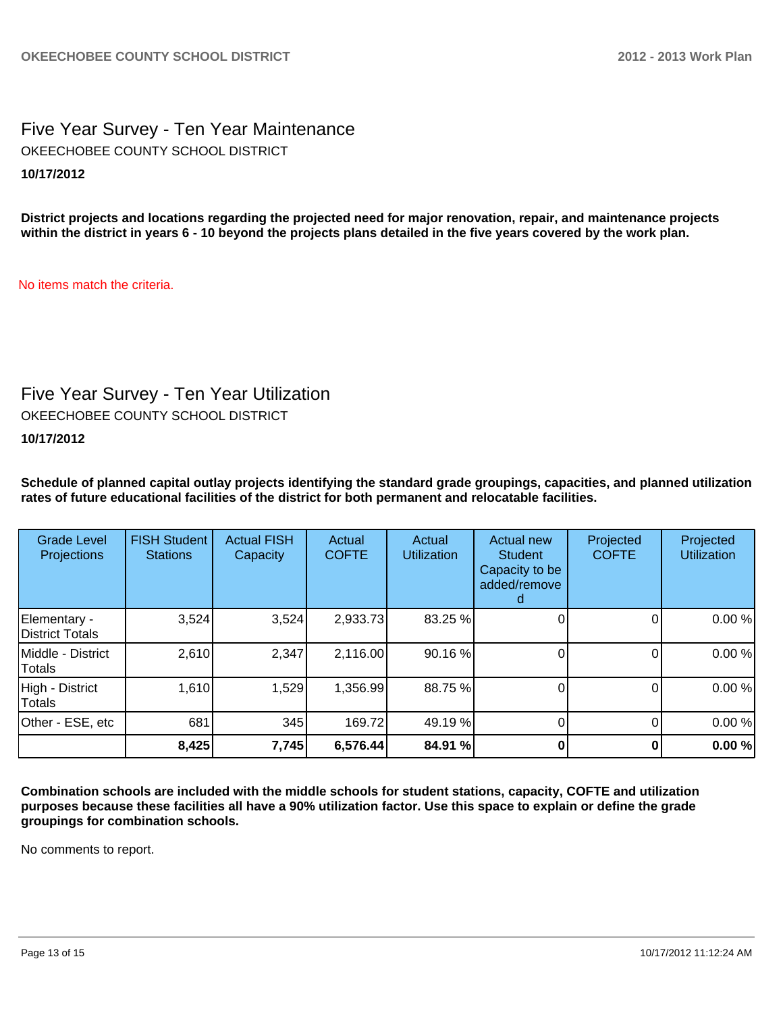Five Year Survey - Ten Year Maintenance **10/17/2012** OKEECHOBEE COUNTY SCHOOL DISTRICT

**District projects and locations regarding the projected need for major renovation, repair, and maintenance projects within the district in years 6 - 10 beyond the projects plans detailed in the five years covered by the work plan.**

No items match the criteria.

## Five Year Survey - Ten Year Utilization

OKEECHOBEE COUNTY SCHOOL DISTRICT

## **10/17/2012**

**Schedule of planned capital outlay projects identifying the standard grade groupings, capacities, and planned utilization rates of future educational facilities of the district for both permanent and relocatable facilities.**

| <b>Grade Level</b><br>Projections | <b>FISH Student</b><br><b>Stations</b> | <b>Actual FISH</b><br>Capacity | Actual<br><b>COFTE</b> | Actual<br><b>Utilization</b> | Actual new<br><b>Student</b><br>Capacity to be<br>added/remove | Projected<br><b>COFTE</b> | Projected<br><b>Utilization</b> |
|-----------------------------------|----------------------------------------|--------------------------------|------------------------|------------------------------|----------------------------------------------------------------|---------------------------|---------------------------------|
| Elementary -<br>District Totals   | 3,524                                  | 3,524                          | 2,933.73               | 83.25 %                      |                                                                |                           | 0.00%                           |
| Middle - District<br>Totals       | 2,610                                  | 2,347                          | 2,116.00               | 90.16%                       |                                                                |                           | 0.00%                           |
| High - District<br>Totals         | 1,610                                  | 1,529                          | 1,356.99               | 88.75 %                      |                                                                |                           | 0.00%                           |
| Other - ESE, etc                  | 681                                    | 345                            | 169.72                 | 49.19 %                      |                                                                |                           | 0.00%                           |
|                                   | 8,425                                  | 7,745                          | 6,576.44               | 84.91 %                      |                                                                |                           | 0.00%                           |

**Combination schools are included with the middle schools for student stations, capacity, COFTE and utilization purposes because these facilities all have a 90% utilization factor. Use this space to explain or define the grade groupings for combination schools.**

No comments to report.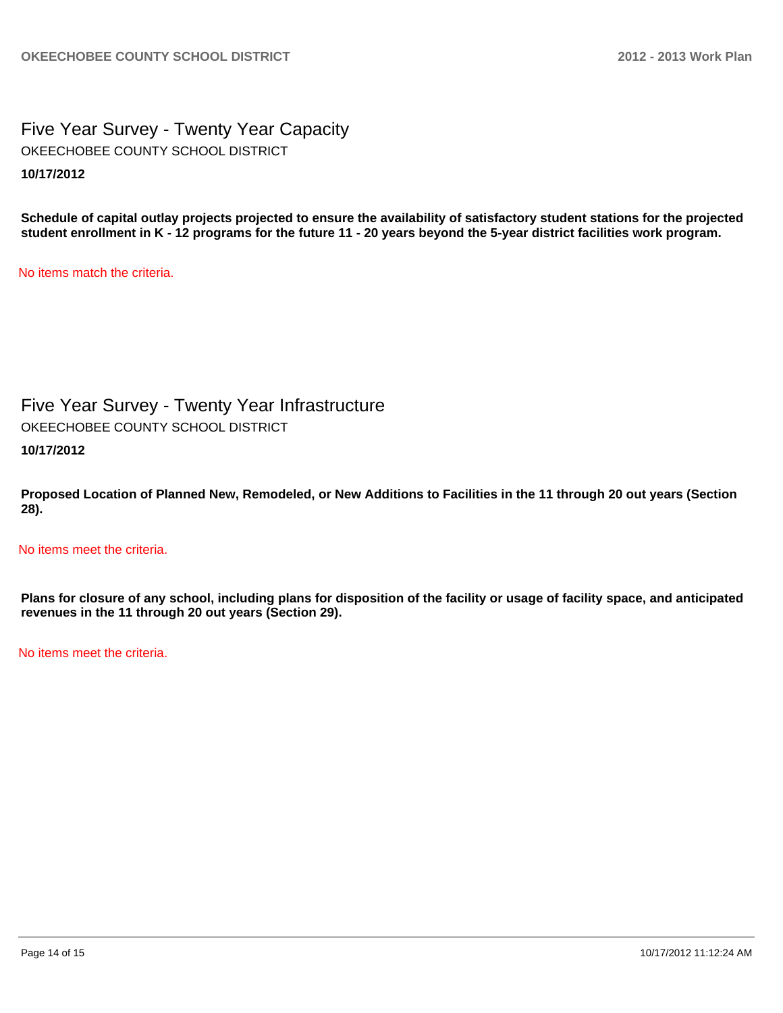Five Year Survey - Twenty Year Capacity **10/17/2012** OKEECHOBEE COUNTY SCHOOL DISTRICT

**Schedule of capital outlay projects projected to ensure the availability of satisfactory student stations for the projected student enrollment in K - 12 programs for the future 11 - 20 years beyond the 5-year district facilities work program.**

No items match the criteria.

Five Year Survey - Twenty Year Infrastructure

OKEECHOBEE COUNTY SCHOOL DISTRICT

**10/17/2012**

**Proposed Location of Planned New, Remodeled, or New Additions to Facilities in the 11 through 20 out years (Section 28).**

No items meet the criteria.

**Plans for closure of any school, including plans for disposition of the facility or usage of facility space, and anticipated revenues in the 11 through 20 out years (Section 29).**

No items meet the criteria.